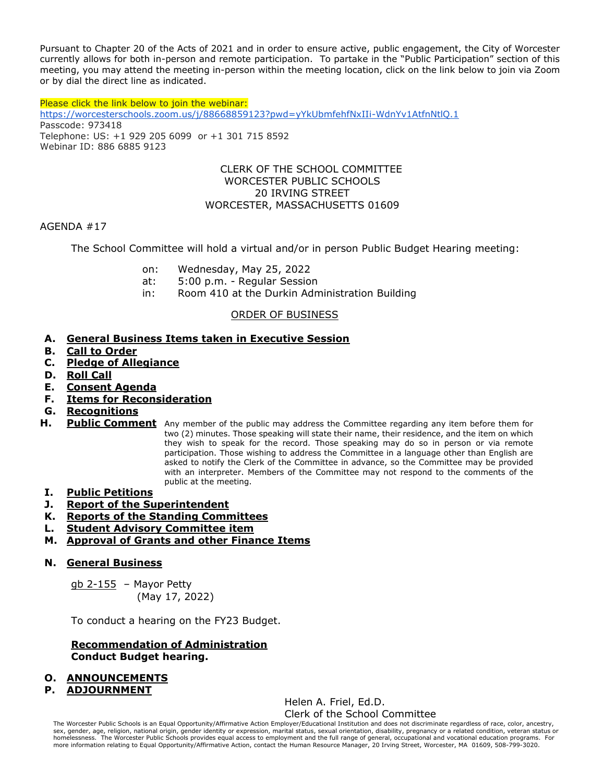Pursuant to Chapter 20 of the Acts of 2021 and in order to ensure active, public engagement, the City of Worcester currently allows for both in-person and remote participation. To partake in the "Public Participation" section of this meeting, you may attend the meeting in-person within the meeting location, click on the link below to join via Zoom or by dial the direct line as indicated.

Please click the link below to join the webinar: <https://worcesterschools.zoom.us/j/88668859123?pwd=yYkUbmfehfNxIIi-WdnYv1AtfnNtlQ.1> Passcode: 973418 Telephone: US: +1 929 205 6099 or +1 301 715 8592 Webinar ID: 886 6885 9123

#### CLERK OF THE SCHOOL COMMITTEE WORCESTER PUBLIC SCHOOLS 20 IRVING STREET WORCESTER, MASSACHUSETTS 01609

#### AGENDA #17

The School Committee will hold a virtual and/or in person Public Budget Hearing meeting:

- on: Wednesday, May 25, 2022
- at: 5:00 p.m. Regular Session
- in: Room 410 at the Durkin Administration Building

## ORDER OF BUSINESS

## **A. General Business Items taken in Executive Session**

- **B. Call to Order**
- **C. Pledge of Allegiance**
- **D. Roll Call**
- **E. Consent Agenda**
- **F. Items for Reconsideration**
- **G. Recognitions**
- **H. Public Comment** Any member of the public may address the Committee regarding any item before them for two (2) minutes. Those speaking will state their name, their residence, and the item on which they wish to speak for the record. Those speaking may do so in person or via remote participation. Those wishing to address the Committee in a language other than English are asked to notify the Clerk of the Committee in advance, so the Committee may be provided with an interpreter. Members of the Committee may not respond to the comments of the public at the meeting.

## **I. Public Petitions**

- **J. Report of the Superintendent**
- **K. Reports of the Standing Committees**
- **L. Student Advisory Committee item**
- **M. Approval of Grants and other Finance Items**

## **N. General Business**

 $q$ b 2-155 – Mayor Petty (May 17, 2022)

To conduct a hearing on the FY23 Budget.

#### **Recommendation of Administration Conduct Budget hearing.**

# **O. ANNOUNCEMENTS**

## **P. ADJOURNMENT**

Helen A. Friel, Ed.D. Clerk of the School Committee

The Worcester Public Schools is an Equal Opportunity/Affirmative Action Employer/Educational Institution and does not discriminate regardless of race, color, ancestry, sex, gender, age, religion, national origin, gender identity or expression, marital status, sexual orientation, disability, pregnancy or a related condition, veteran status or<br>homelessness. The Worcester Public Schools pr more information relating to Equal Opportunity/Affirmative Action, contact the Human Resource Manager, 20 Irving Street, Worcester, MA 01609, 508-799-3020.